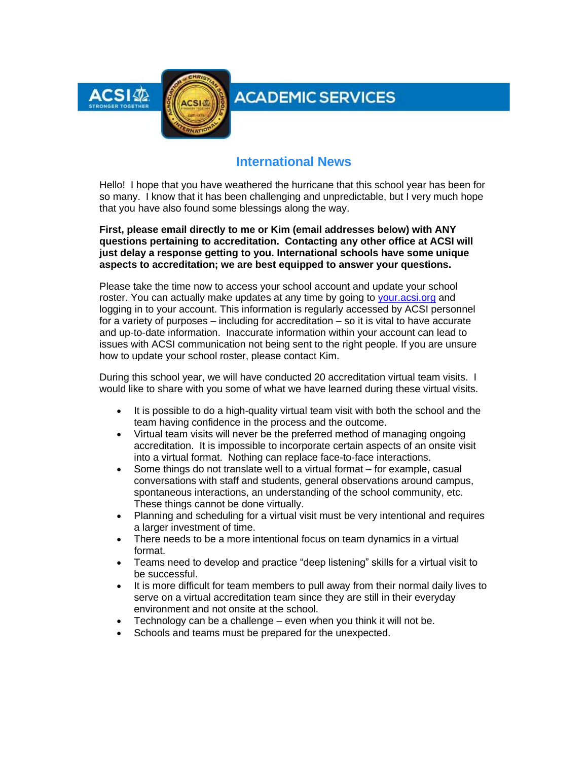

# **ACADEMIC SERVICES**

### **International News**

Hello! I hope that you have weathered the hurricane that this school year has been for so many. I know that it has been challenging and unpredictable, but I very much hope that you have also found some blessings along the way.

**First, please email directly to me or Kim (email addresses below) with ANY questions pertaining to accreditation. Contacting any other office at ACSI will just delay a response getting to you. International schools have some unique aspects to accreditation; we are best equipped to answer your questions.**

Please take the time now to access your school account and update your school roster. You can actually make updates at any time by going to [your.acsi.org](http://link.acsi.org/c/6/?T=ODcyOTMzMTM%3AMDItYjIxMTIwLTM3MGJkZjFhNjkyOTQ2ZDdiM2ZiMDU3NzY5ZGExNjUw%3Aa2ltYmVybHlfcGFya0BhY3NpLm9yZw%3AY29udGFjdC0xNDM0NTlhZDNjNjNlODExODBkMDAyYmZjMGE4MDE3Mi1jYWE2Yjg0N2FkNmY0MTVlYjg2YmNjZDM1ZjdjMDA2Mw%3AZmFsc2U%3AMg%3A%3AaHR0cHM6Ly95b3VyLmFjc2kub3JnL1NlY3VyaXR5L1NpZ24tSW4_cmV0dXJuVVJMPWh0dHBzJTNhJTJmJTJmYWNzaS1pbnRlZ3JhdGlvbnMubGVhcm5pbmdidWlsZGVyLmNvbSUyZkFDU0klMmZTc28lMmZBdXRoZW50aWNhdGUmX2NsZGVlPWEybHRZbVZ5YkhsZmNHRnlhMEJoWTNOcExtOXladyUzZCUzZCZyZWNpcGllbnRpZD1jb250YWN0LTE0MzQ1OWFkM2M2M2U4MTE4MGQwMDJiZmMwYTgwMTcyLWNhYTZiODQ3YWQ2ZjQxNWViODZiY2NkMzVmN2MwMDYzJmVzaWQ9OGE0OGU0NmYtYWE5MC1lYjExLTgxMTQtMDAwZDNhMGRlMWEx&K=n7WNym7vgvC-cJhMotaVKQ) and logging in to your account. This information is regularly accessed by ACSI personnel for a variety of purposes – including for accreditation – so it is vital to have accurate and up-to-date information. Inaccurate information within your account can lead to issues with ACSI communication not being sent to the right people. If you are unsure how to update your school roster, please contact Kim.

During this school year, we will have conducted 20 accreditation virtual team visits. I would like to share with you some of what we have learned during these virtual visits.

- It is possible to do a high-quality virtual team visit with both the school and the team having confidence in the process and the outcome.
- Virtual team visits will never be the preferred method of managing ongoing accreditation. It is impossible to incorporate certain aspects of an onsite visit into a virtual format. Nothing can replace face-to-face interactions.
- Some things do not translate well to a virtual format for example, casual conversations with staff and students, general observations around campus, spontaneous interactions, an understanding of the school community, etc. These things cannot be done virtually.
- Planning and scheduling for a virtual visit must be very intentional and requires a larger investment of time.
- There needs to be a more intentional focus on team dynamics in a virtual format.
- Teams need to develop and practice "deep listening" skills for a virtual visit to be successful.
- It is more difficult for team members to pull away from their normal daily lives to serve on a virtual accreditation team since they are still in their everyday environment and not onsite at the school.
- Technology can be a challenge even when you think it will not be.
- Schools and teams must be prepared for the unexpected.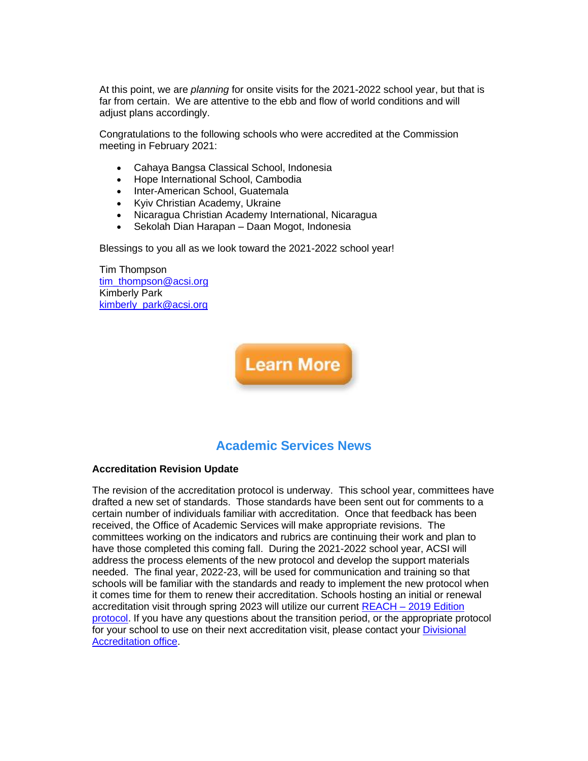At this point, we are *planning* for onsite visits for the 2021-2022 school year, but that is far from certain. We are attentive to the ebb and flow of world conditions and will adiust plans accordingly.

Congratulations to the following schools who were accredited at the Commission meeting in February 2021:

- Cahaya Bangsa Classical School, Indonesia
- Hope International School, Cambodia
- Inter-American School, Guatemala
- Kyiv Christian Academy, Ukraine
- Nicaragua Christian Academy International, Nicaragua
- Sekolah Dian Harapan Daan Mogot, Indonesia

Blessings to you all as we look toward the 2021-2022 school year!

Tim Thompson [tim\\_thompson@acsi.org](mailto:tim_thompson@acsi.org) Kimberly Park [kimberly\\_park@acsi.org](mailto:kimberly_park@acsi.org) 



## **Academic Services News**

#### **Accreditation Revision Update**

The revision of the accreditation protocol is underway. This school year, committees have drafted a new set of standards. Those standards have been sent out for comments to a certain number of individuals familiar with accreditation. Once that feedback has been received, the Office of Academic Services will make appropriate revisions. The committees working on the indicators and rubrics are continuing their work and plan to have those completed this coming fall. During the 2021-2022 school year, ACSI will address the process elements of the new protocol and develop the support materials needed. The final year, 2022-23, will be used for communication and training so that schools will be familiar with the standards and ready to implement the new protocol when it comes time for them to renew their accreditation. Schools hosting an initial or renewal accreditation visit through spring 2023 will utilize our current REACH – [2019 Edition](http://link.acsi.org/c/6/?T=ODcyOTMzMTM%3AMDItYjIxMTIwLTM3MGJkZjFhNjkyOTQ2ZDdiM2ZiMDU3NzY5ZGExNjUw%3Aa2ltYmVybHlfcGFya0BhY3NpLm9yZw%3AY29udGFjdC0xNDM0NTlhZDNjNjNlODExODBkMDAyYmZjMGE4MDE3Mi1jYWE2Yjg0N2FkNmY0MTVlYjg2YmNjZDM1ZjdjMDA2Mw%3AZmFsc2U%3ANQ%3A%3AaHR0cHM6Ly93d3cuYWNzaS5vcmcvZG9jcy9kZWZhdWx0LXNvdXJjZS93ZWJzaXRlLXB1Ymxpc2hpbmcvc2Nob29sLXNlcnZpY2VzL2FjY3JlZGl0YXRpb24vYXBwbGljYXRpb24tYW5kLW1hbnVhbHMvYWNzaS1zdGFuZGFyZHMtbWFudWFsLWZpbmFsLnBkZj9zZnZyc249ZmJhMjI2MzlfMTQmX2NsZGVlPWEybHRZbVZ5YkhsZmNHRnlhMEJoWTNOcExtOXladyUzZCUzZCZyZWNpcGllbnRpZD1jb250YWN0LTE0MzQ1OWFkM2M2M2U4MTE4MGQwMDJiZmMwYTgwMTcyLWNhYTZiODQ3YWQ2ZjQxNWViODZiY2NkMzVmN2MwMDYzJmVzaWQ9OGE0OGU0NmYtYWE5MC1lYjExLTgxMTQtMDAwZDNhMGRlMWEx&K=gJM9KRXVhDvC_8nJz7rnVg)  [protocol.](http://link.acsi.org/c/6/?T=ODcyOTMzMTM%3AMDItYjIxMTIwLTM3MGJkZjFhNjkyOTQ2ZDdiM2ZiMDU3NzY5ZGExNjUw%3Aa2ltYmVybHlfcGFya0BhY3NpLm9yZw%3AY29udGFjdC0xNDM0NTlhZDNjNjNlODExODBkMDAyYmZjMGE4MDE3Mi1jYWE2Yjg0N2FkNmY0MTVlYjg2YmNjZDM1ZjdjMDA2Mw%3AZmFsc2U%3ANQ%3A%3AaHR0cHM6Ly93d3cuYWNzaS5vcmcvZG9jcy9kZWZhdWx0LXNvdXJjZS93ZWJzaXRlLXB1Ymxpc2hpbmcvc2Nob29sLXNlcnZpY2VzL2FjY3JlZGl0YXRpb24vYXBwbGljYXRpb24tYW5kLW1hbnVhbHMvYWNzaS1zdGFuZGFyZHMtbWFudWFsLWZpbmFsLnBkZj9zZnZyc249ZmJhMjI2MzlfMTQmX2NsZGVlPWEybHRZbVZ5YkhsZmNHRnlhMEJoWTNOcExtOXladyUzZCUzZCZyZWNpcGllbnRpZD1jb250YWN0LTE0MzQ1OWFkM2M2M2U4MTE4MGQwMDJiZmMwYTgwMTcyLWNhYTZiODQ3YWQ2ZjQxNWViODZiY2NkMzVmN2MwMDYzJmVzaWQ9OGE0OGU0NmYtYWE5MC1lYjExLTgxMTQtMDAwZDNhMGRlMWEx&K=gJM9KRXVhDvC_8nJz7rnVg) If you have any questions about the transition period, or the appropriate protocol for your school to use on their next accreditation visit, please contact your [Divisional](http://link.acsi.org/c/6/?T=ODcyOTMzMTM%3AMDItYjIxMTIwLTM3MGJkZjFhNjkyOTQ2ZDdiM2ZiMDU3NzY5ZGExNjUw%3Aa2ltYmVybHlfcGFya0BhY3NpLm9yZw%3AY29udGFjdC0xNDM0NTlhZDNjNjNlODExODBkMDAyYmZjMGE4MDE3Mi1jYWE2Yjg0N2FkNmY0MTVlYjg2YmNjZDM1ZjdjMDA2Mw%3AZmFsc2U%3ANg%3A%3AaHR0cHM6Ly93d3cuYWNzaS5vcmcvYWNjcmVkaXRhdGlvbi1jZXJ0aWZpY2F0aW9uL2FjY3JlZGl0YXRpb24tZm9yLXNjaG9vbHMvYWNjcmVkaXRhdGlvbi1jb250YWN0cz9fY2xkZWU9YTJsdFltVnliSGxmY0dGeWEwQmhZM05wTG05eVp3JTNkJTNkJnJlY2lwaWVudGlkPWNvbnRhY3QtMTQzNDU5YWQzYzYzZTgxMTgwZDAwMmJmYzBhODAxNzItY2FhNmI4NDdhZDZmNDE1ZWI4NmJjY2QzNWY3YzAwNjMmZXNpZD04YTQ4ZTQ2Zi1hYTkwLWViMTEtODExNC0wMDBkM2EwZGUxYTE&K=-nG0y42xuBBd_D2Zpl7l4A)  [Accreditation office.](http://link.acsi.org/c/6/?T=ODcyOTMzMTM%3AMDItYjIxMTIwLTM3MGJkZjFhNjkyOTQ2ZDdiM2ZiMDU3NzY5ZGExNjUw%3Aa2ltYmVybHlfcGFya0BhY3NpLm9yZw%3AY29udGFjdC0xNDM0NTlhZDNjNjNlODExODBkMDAyYmZjMGE4MDE3Mi1jYWE2Yjg0N2FkNmY0MTVlYjg2YmNjZDM1ZjdjMDA2Mw%3AZmFsc2U%3ANg%3A%3AaHR0cHM6Ly93d3cuYWNzaS5vcmcvYWNjcmVkaXRhdGlvbi1jZXJ0aWZpY2F0aW9uL2FjY3JlZGl0YXRpb24tZm9yLXNjaG9vbHMvYWNjcmVkaXRhdGlvbi1jb250YWN0cz9fY2xkZWU9YTJsdFltVnliSGxmY0dGeWEwQmhZM05wTG05eVp3JTNkJTNkJnJlY2lwaWVudGlkPWNvbnRhY3QtMTQzNDU5YWQzYzYzZTgxMTgwZDAwMmJmYzBhODAxNzItY2FhNmI4NDdhZDZmNDE1ZWI4NmJjY2QzNWY3YzAwNjMmZXNpZD04YTQ4ZTQ2Zi1hYTkwLWViMTEtODExNC0wMDBkM2EwZGUxYTE&K=-nG0y42xuBBd_D2Zpl7l4A)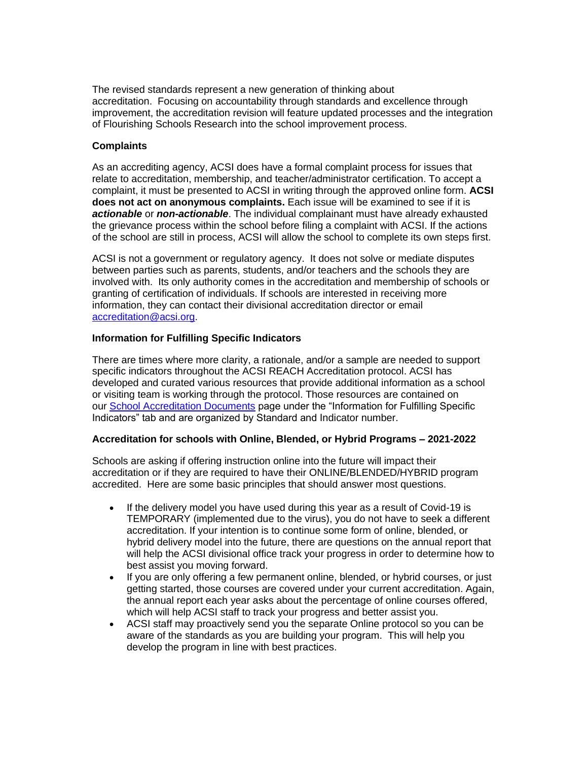The revised standards represent a new generation of thinking about accreditation. Focusing on accountability through standards and excellence through improvement, the accreditation revision will feature updated processes and the integration of Flourishing Schools Research into the school improvement process.

#### **Complaints**

As an accrediting agency, ACSI does have a formal complaint process for issues that relate to accreditation, membership, and teacher/administrator certification. To accept a complaint, it must be presented to ACSI in writing through the approved online form. **ACSI does not act on anonymous complaints.** Each issue will be examined to see if it is *actionable* or *non-actionable*. The individual complainant must have already exhausted the grievance process within the school before filing a complaint with ACSI. If the actions of the school are still in process, ACSI will allow the school to complete its own steps first.

ACSI is not a government or regulatory agency. It does not solve or mediate disputes between parties such as parents, students, and/or teachers and the schools they are involved with. Its only authority comes in the accreditation and membership of schools or granting of certification of individuals. If schools are interested in receiving more information, they can contact their divisional accreditation director or email [accreditation@acsi.org.](mailto:accreditation@acsi.org)

#### **Information for Fulfilling Specific Indicators**

There are times where more clarity, a rationale, and/or a sample are needed to support specific indicators throughout the ACSI REACH Accreditation protocol. ACSI has developed and curated various resources that provide additional information as a school or visiting team is working through the protocol. Those resources are contained on our [School Accreditation Documents](http://link.acsi.org/c/6/?T=ODcyOTMzMTM%3AMDItYjIxMTIwLTM3MGJkZjFhNjkyOTQ2ZDdiM2ZiMDU3NzY5ZGExNjUw%3Aa2ltYmVybHlfcGFya0BhY3NpLm9yZw%3AY29udGFjdC0xNDM0NTlhZDNjNjNlODExODBkMDAyYmZjMGE4MDE3Mi1jYWE2Yjg0N2FkNmY0MTVlYjg2YmNjZDM1ZjdjMDA2Mw%3AZmFsc2U%3ANw%3A%3AaHR0cHM6Ly93d3cuYWNzaS5vcmcvYWNjcmVkaXRhdGlvbi1jZXJ0aWZpY2F0aW9uL2FjY3JlZGl0YXRpb24tZm9yLXNjaG9vbHMvcmVhY2gtc2Nob29sLWFjY3JlZGl0YXRpb24tZG9jdW1lbnRzP19jbGRlZT1hMmx0WW1WeWJIbGZjR0Z5YTBCaFkzTnBMbTl5WnclM2QlM2QmcmVjaXBpZW50aWQ9Y29udGFjdC0xNDM0NTlhZDNjNjNlODExODBkMDAyYmZjMGE4MDE3Mi1jYWE2Yjg0N2FkNmY0MTVlYjg2YmNjZDM1ZjdjMDA2MyZlc2lkPThhNDhlNDZmLWFhOTAtZWIxMS04MTE0LTAwMGQzYTBkZTFhMQ&K=6JMxFTLBuo1JM2ii1KhVsg) page under the "Information for Fulfilling Specific Indicators" tab and are organized by Standard and Indicator number.

#### **Accreditation for schools with Online, Blended, or Hybrid Programs – 2021-2022**

Schools are asking if offering instruction online into the future will impact their accreditation or if they are required to have their ONLINE/BLENDED/HYBRID program accredited. Here are some basic principles that should answer most questions.

- If the delivery model you have used during this year as a result of Covid-19 is TEMPORARY (implemented due to the virus), you do not have to seek a different accreditation. If your intention is to continue some form of online, blended, or hybrid delivery model into the future, there are questions on the annual report that will help the ACSI divisional office track your progress in order to determine how to best assist you moving forward.
- If you are only offering a few permanent online, blended, or hybrid courses, or just getting started, those courses are covered under your current accreditation. Again, the annual report each year asks about the percentage of online courses offered, which will help ACSI staff to track your progress and better assist you.
- ACSI staff may proactively send you the separate Online protocol so you can be aware of the standards as you are building your program. This will help you develop the program in line with best practices.